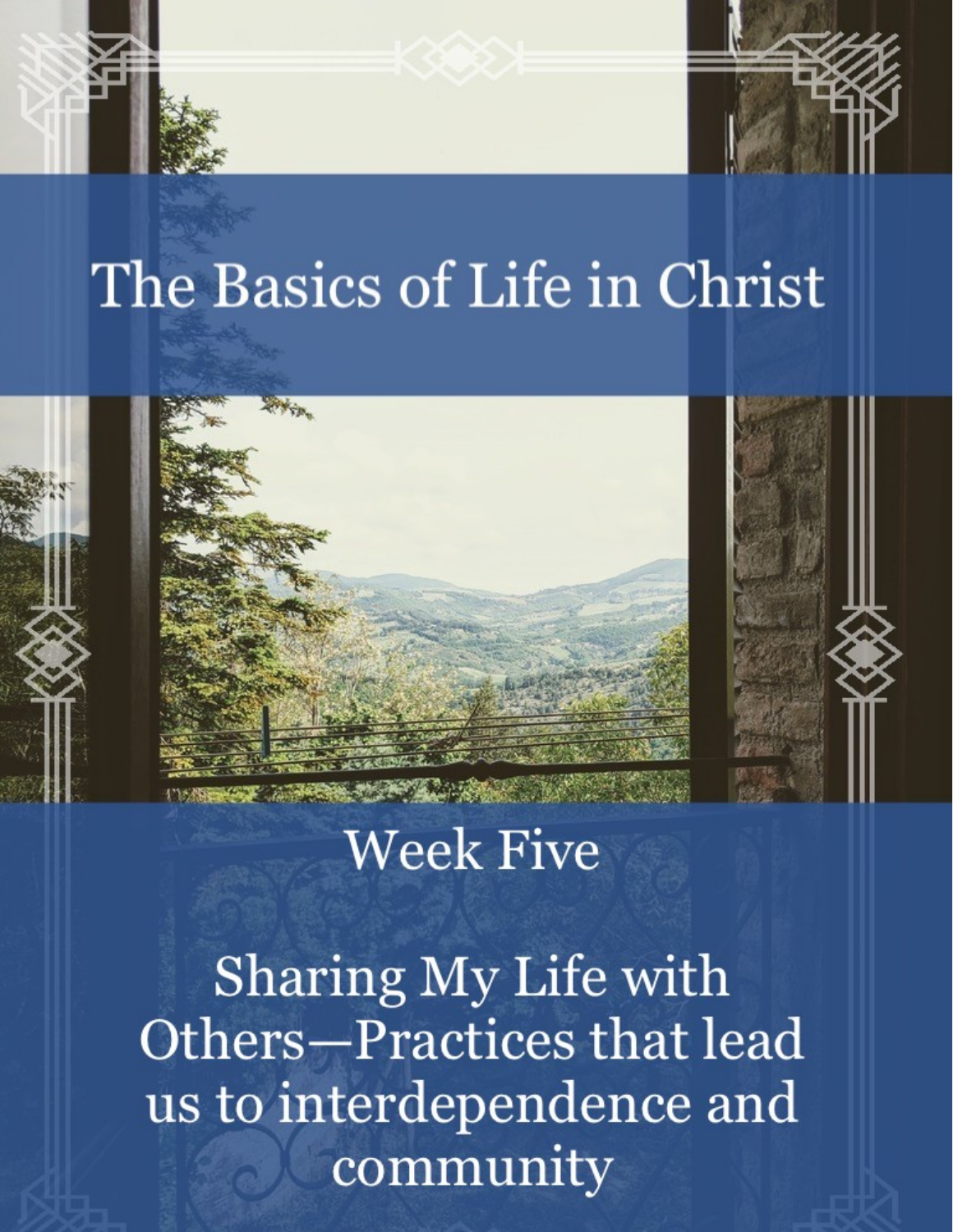# The Basics of Life in Christ



# **Week Five**

Sharing My Life with Others-Practices that lead us to interdependence and community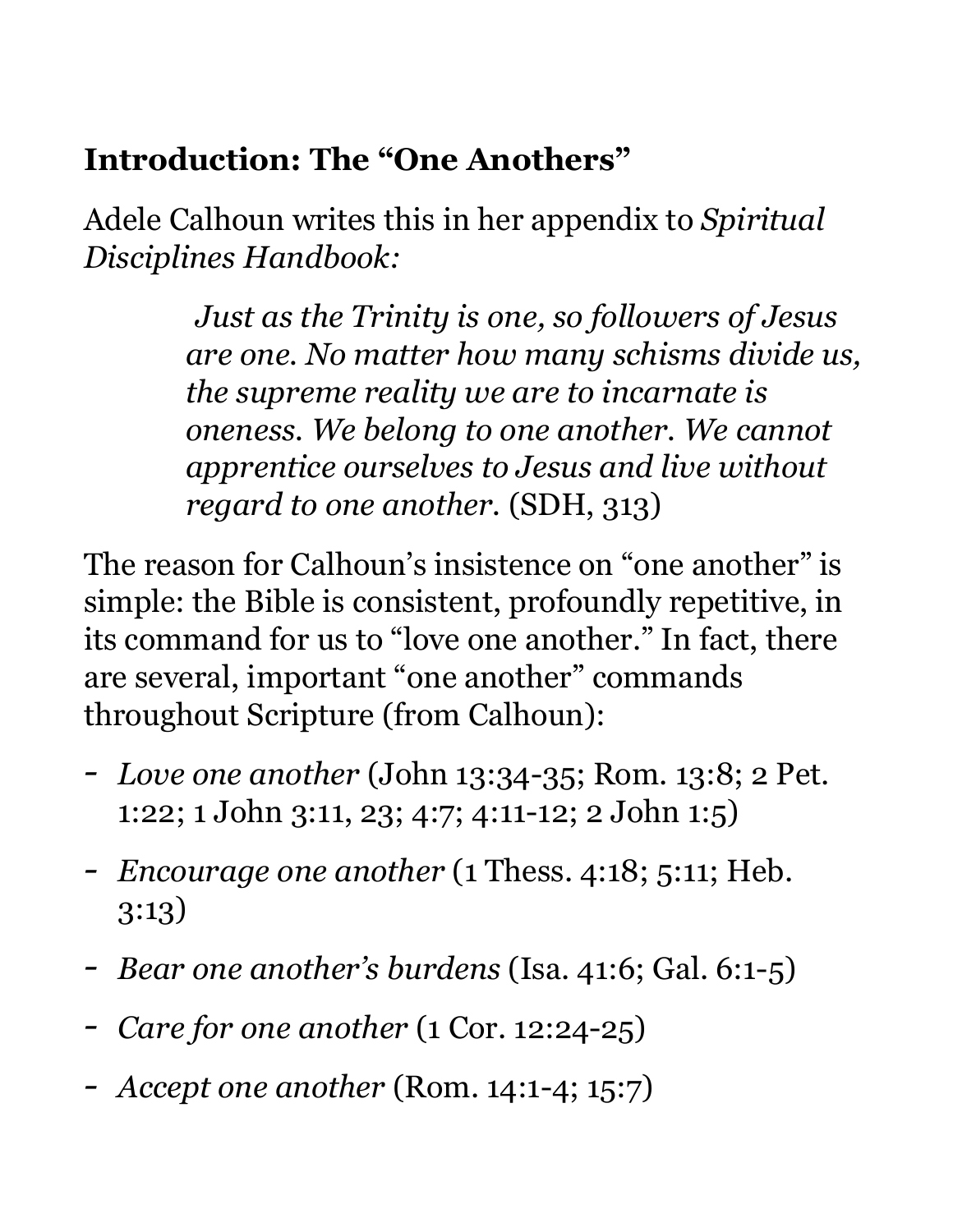#### **Introduction: The "One Anothers"**

Adele Calhoun writes this in her appendix to *Spiritual Disciplines Handbook:* 

> *Just as the Trinity is one, so followers of Jesus are one. No matter how many schisms divide us, the supreme reality we are to incarnate is oneness. We belong to one another. We cannot apprentice ourselves to Jesus and live without regard to one another.* (SDH, 313)

The reason for Calhoun's insistence on "one another" is simple: the Bible is consistent, profoundly repetitive, in its command for us to "love one another." In fact, there are several, important "one another" commands throughout Scripture (from Calhoun):

- *- Love one another* (John 13:34-35; Rom. 13:8; 2 Pet. 1:22; 1 John 3:11, 23; 4:7; 4:11-12; 2 John 1:5)
- *- Encourage one another* (1 Thess. 4:18; 5:11; Heb. 3:13)
- *- Bear one another's burdens* (Isa. 41:6; Gal. 6:1-5)
- *- Care for one another* (1 Cor. 12:24-25)
- *- Accept one another* (Rom. 14:1-4; 15:7)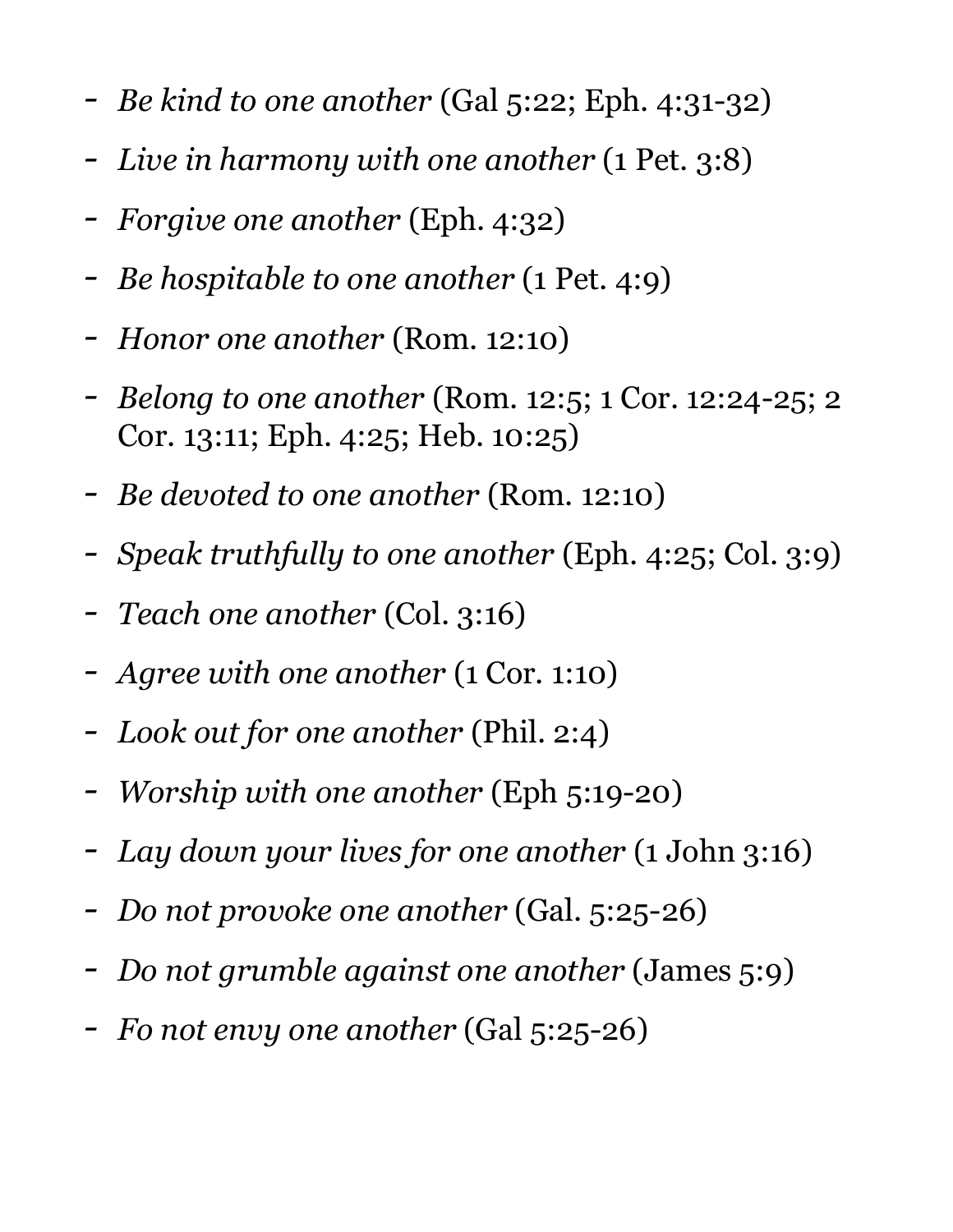- *- Be kind to one another* (Gal 5:22; Eph. 4:31-32)
- *- Live in harmony with one another* (1 Pet. 3:8)
- *- Forgive one another* (Eph. 4:32)
- *- Be hospitable to one another* (1 Pet. 4:9)
- *- Honor one another* (Rom. 12:10)
- *- Belong to one another* (Rom. 12:5; 1 Cor. 12:24-25; 2 Cor. 13:11; Eph. 4:25; Heb. 10:25)
- *- Be devoted to one another* (Rom. 12:10)
- *- Speak truthfully to one another* (Eph. 4:25; Col. 3:9)
- *- Teach one another* (Col. 3:16)
- *- Agree with one another* (1 Cor. 1:10)
- *- Look out for one another* (Phil. 2:4)
- *- Worship with one another* (Eph 5:19-20)
- *- Lay down your lives for one another* (1 John 3:16)
- *- Do not provoke one another* (Gal. 5:25-26)
- *- Do not grumble against one another* (James 5:9)
- *- Fo not envy one another* (Gal 5:25-26)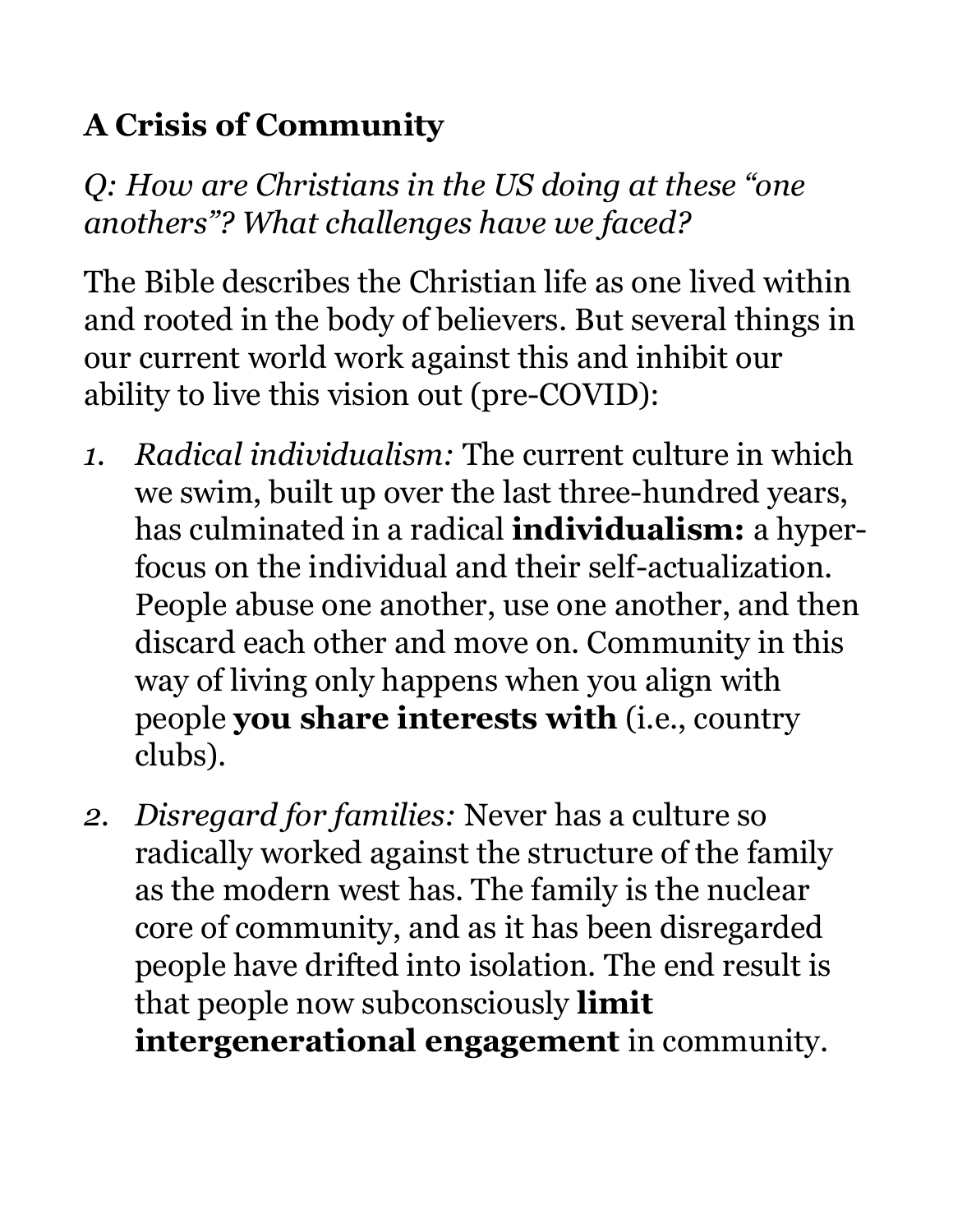## **A Crisis of Community**

*Q: How are Christians in the US doing at these "one anothers"? What challenges have we faced?* 

The Bible describes the Christian life as one lived within and rooted in the body of believers. But several things in our current world work against this and inhibit our ability to live this vision out (pre-COVID):

- *1. Radical individualism:* The current culture in which we swim, built up over the last three-hundred years, has culminated in a radical **individualism:** a hyperfocus on the individual and their self-actualization. People abuse one another, use one another, and then discard each other and move on. Community in this way of living only happens when you align with people **you share interests with** (i.e., country clubs).
- *2. Disregard for families:* Never has a culture so radically worked against the structure of the family as the modern west has. The family is the nuclear core of community, and as it has been disregarded people have drifted into isolation. The end result is that people now subconsciously **limit intergenerational engagement** in community.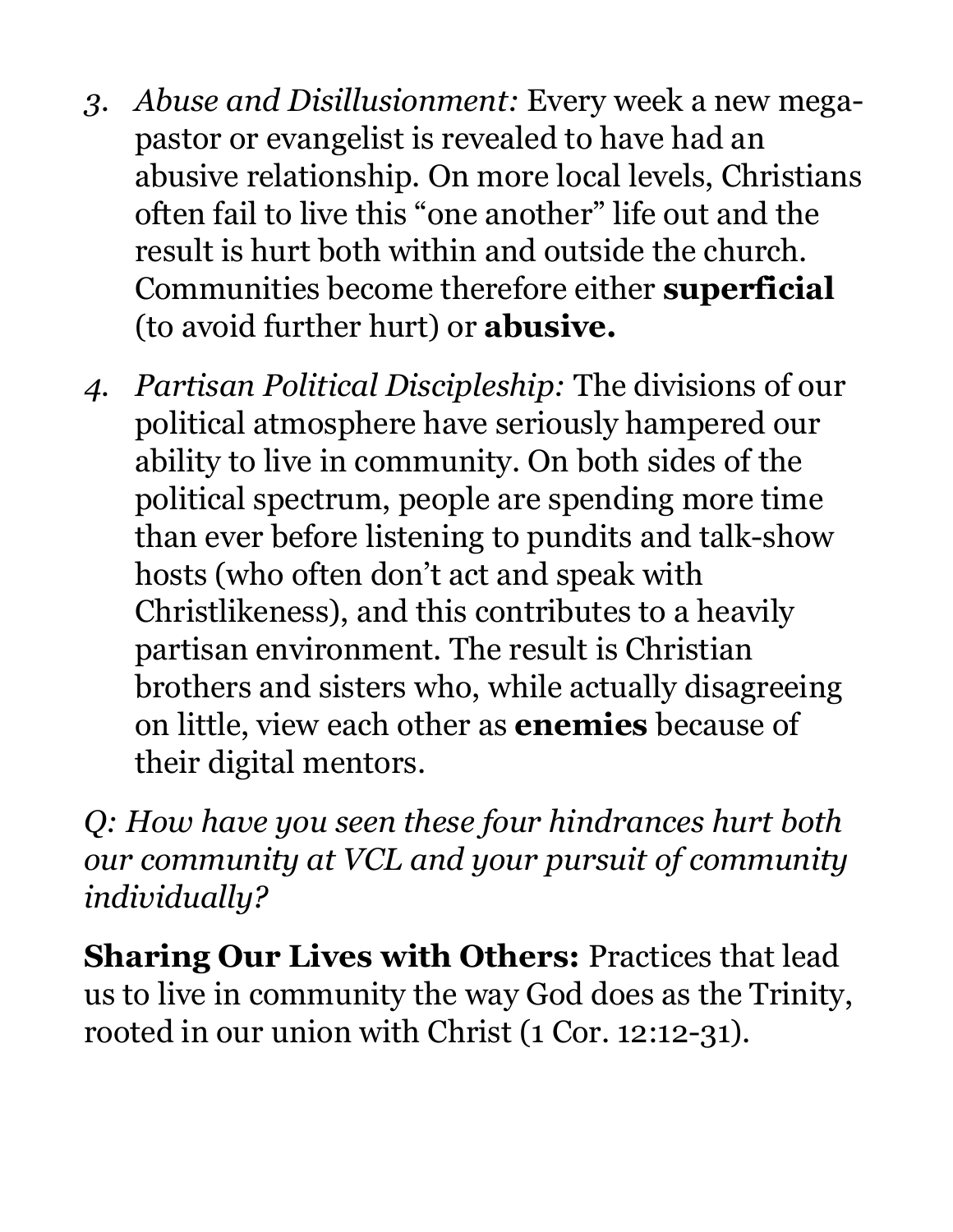- *3. Abuse and Disillusionment:* Every week a new megapastor or evangelist is revealed to have had an abusive relationship. On more local levels, Christians often fail to live this "one another" life out and the result is hurt both within and outside the church. Communities become therefore either **superficial**  (to avoid further hurt) or **abusive.**
- *4. Partisan Political Discipleship:* The divisions of our political atmosphere have seriously hampered our ability to live in community. On both sides of the political spectrum, people are spending more time than ever before listening to pundits and talk-show hosts (who often don't act and speak with Christlikeness), and this contributes to a heavily partisan environment. The result is Christian brothers and sisters who, while actually disagreeing on little, view each other as **enemies** because of their digital mentors.

*Q: How have you seen these four hindrances hurt both our community at VCL and your pursuit of community individually?* 

**Sharing Our Lives with Others:** Practices that lead us to live in community the way God does as the Trinity, rooted in our union with Christ (1 Cor. 12:12-31).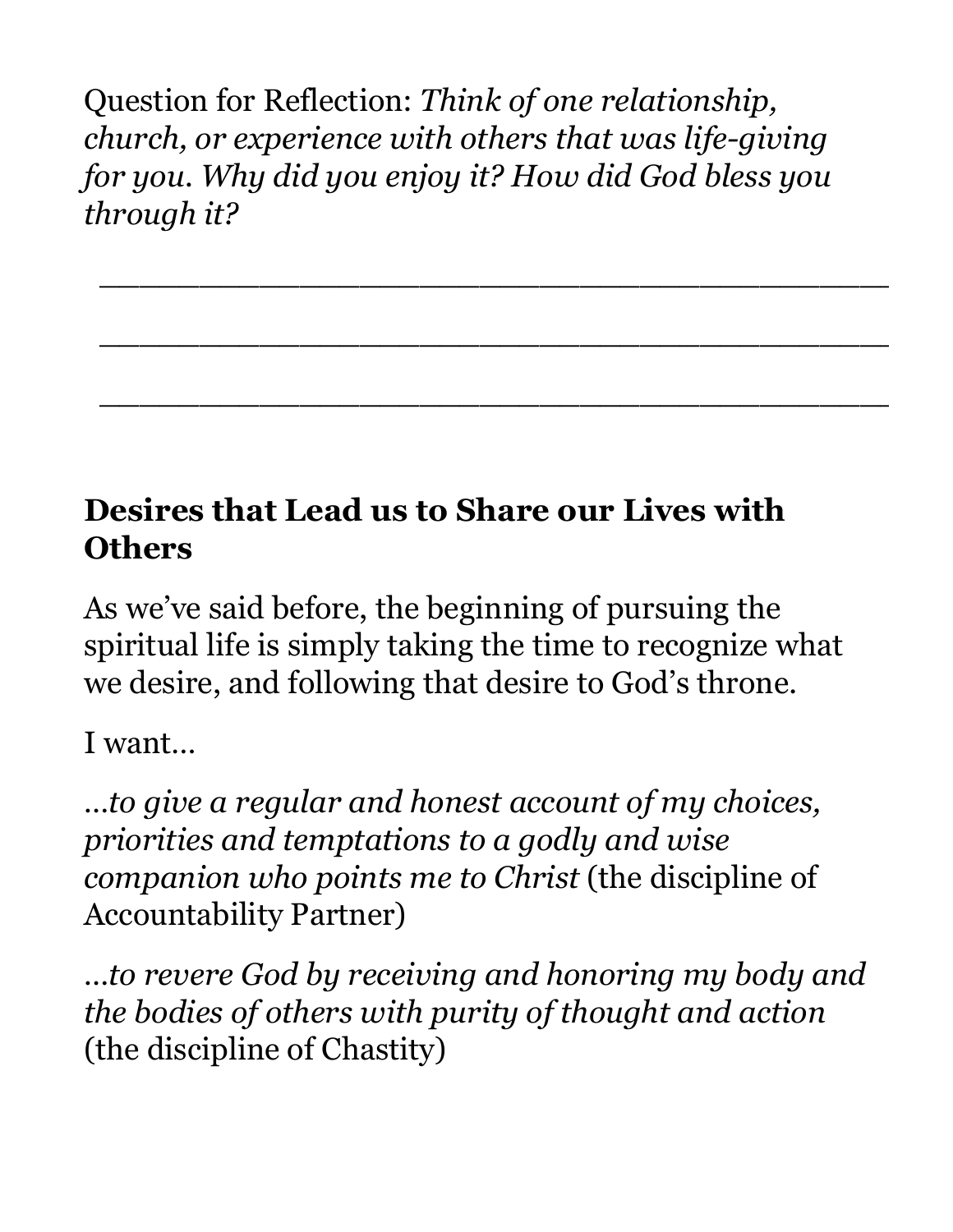Question for Reflection: *Think of one relationship, church, or experience with others that was life-giving for you. Why did you enjoy it? How did God bless you through it?* 

\_\_\_\_\_\_\_\_\_\_\_\_\_\_\_\_\_\_\_\_\_\_\_\_\_\_\_\_\_\_\_\_\_\_\_\_\_\_\_\_\_\_\_\_

\_\_\_\_\_\_\_\_\_\_\_\_\_\_\_\_\_\_\_\_\_\_\_\_\_\_\_\_\_\_\_\_\_\_\_\_\_\_\_\_\_\_\_\_

\_\_\_\_\_\_\_\_\_\_\_\_\_\_\_\_\_\_\_\_\_\_\_\_\_\_\_\_\_\_\_\_\_\_\_\_\_\_\_\_\_\_\_\_

#### **Desires that Lead us to Share our Lives with Others**

As we've said before, the beginning of pursuing the spiritual life is simply taking the time to recognize what we desire, and following that desire to God's throne.

I want…

*…to give a regular and honest account of my choices, priorities and temptations to a godly and wise companion who points me to Christ* (the discipline of Accountability Partner)

*…to revere God by receiving and honoring my body and the bodies of others with purity of thought and action*  (the discipline of Chastity)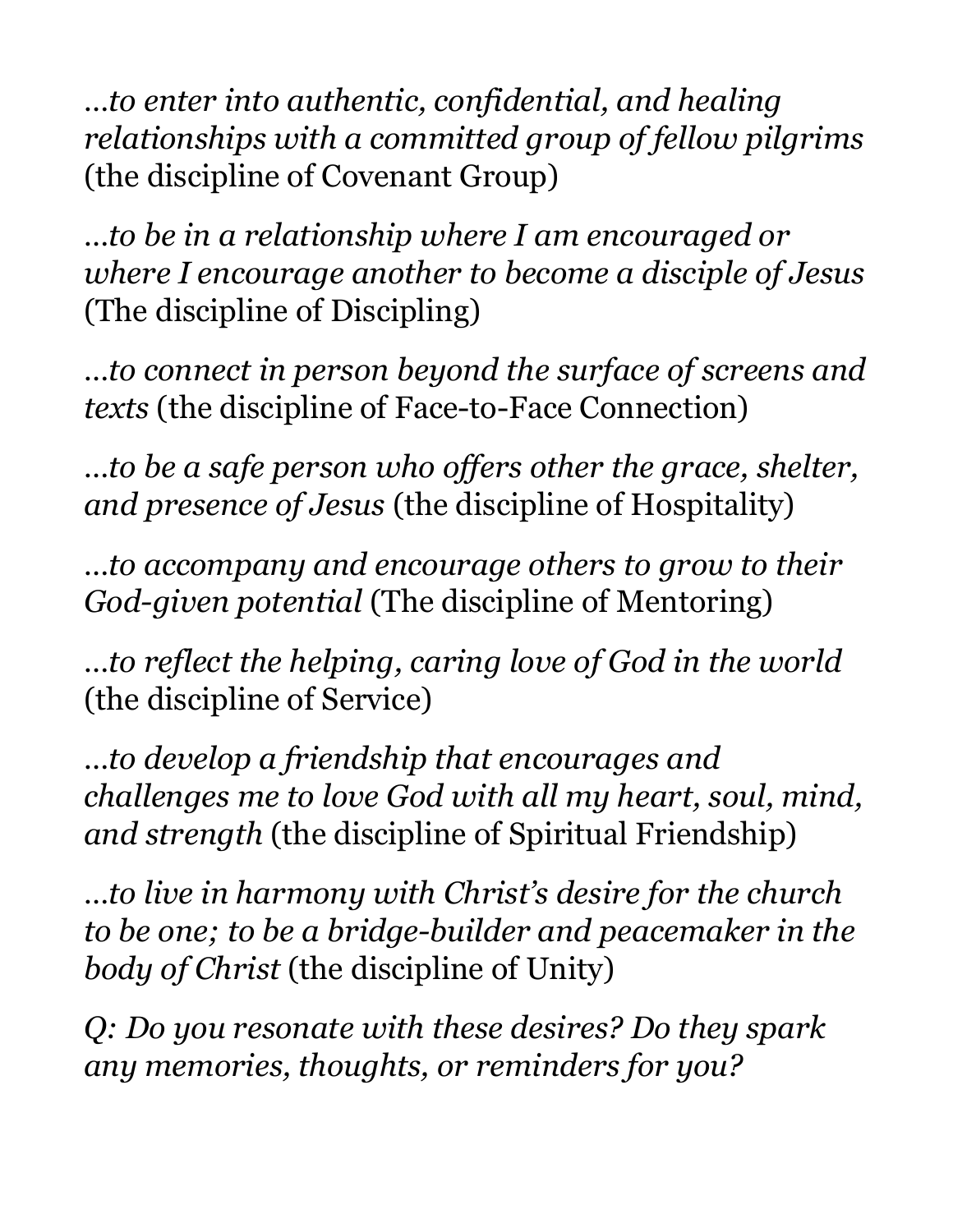*…to enter into authentic, confidential, and healing relationships with a committed group of fellow pilgrims*  (the discipline of Covenant Group)

*…to be in a relationship where I am encouraged or where I encourage another to become a disciple of Jesus*  (The discipline of Discipling)

*…to connect in person beyond the surface of screens and texts* (the discipline of Face-to-Face Connection)

*…to be a safe person who offers other the grace, shelter, and presence of Jesus* (the discipline of Hospitality)

*…to accompany and encourage others to grow to their God-given potential* (The discipline of Mentoring)

*…to reflect the helping, caring love of God in the world*  (the discipline of Service)

*…to develop a friendship that encourages and challenges me to love God with all my heart, soul, mind, and strength* (the discipline of Spiritual Friendship)

*…to live in harmony with Christ's desire for the church to be one; to be a bridge-builder and peacemaker in the body of Christ* (the discipline of Unity)

*Q: Do you resonate with these desires? Do they spark any memories, thoughts, or reminders for you?*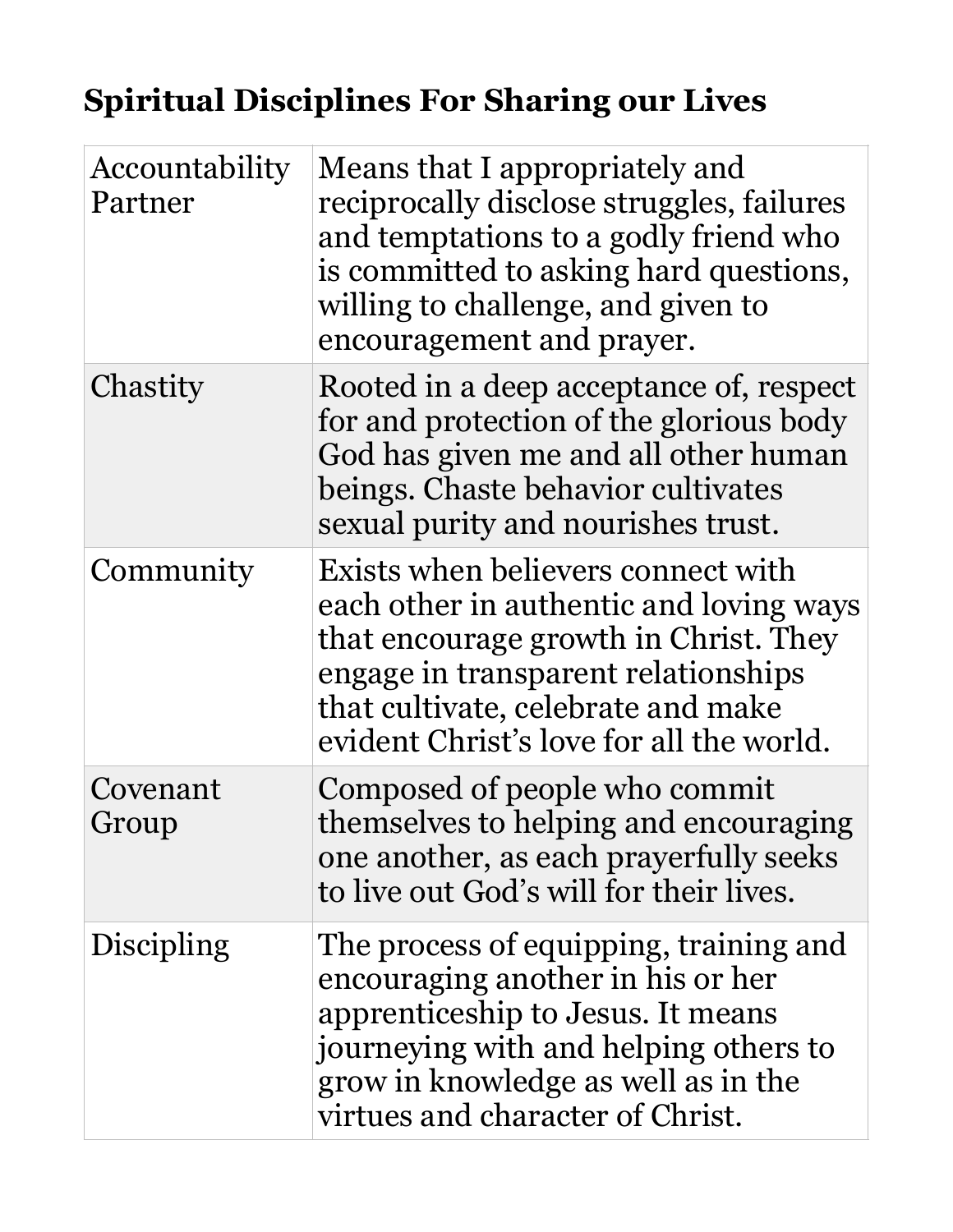### **Spiritual Disciplines For Sharing our Lives**

| Accountability<br>Partner | Means that I appropriately and<br>reciprocally disclose struggles, failures<br>and temptations to a godly friend who<br>is committed to asking hard questions,<br>willing to challenge, and given to<br>encouragement and prayer.               |
|---------------------------|-------------------------------------------------------------------------------------------------------------------------------------------------------------------------------------------------------------------------------------------------|
| Chastity                  | Rooted in a deep acceptance of, respect<br>for and protection of the glorious body<br>God has given me and all other human<br>beings. Chaste behavior cultivates<br>sexual purity and nourishes trust.                                          |
| Community                 | Exists when believers connect with<br>each other in authentic and loving ways<br>that encourage growth in Christ. They<br>engage in transparent relationships<br>that cultivate, celebrate and make<br>evident Christ's love for all the world. |
| Covenant<br>Group         | Composed of people who commit<br>themselves to helping and encouraging<br>one another, as each prayerfully seeks<br>to live out God's will for their lives.                                                                                     |
| Discipling                | The process of equipping, training and<br>encouraging another in his or her<br>apprenticeship to Jesus. It means<br>journeying with and helping others to<br>grow in knowledge as well as in the<br>virtues and character of Christ.            |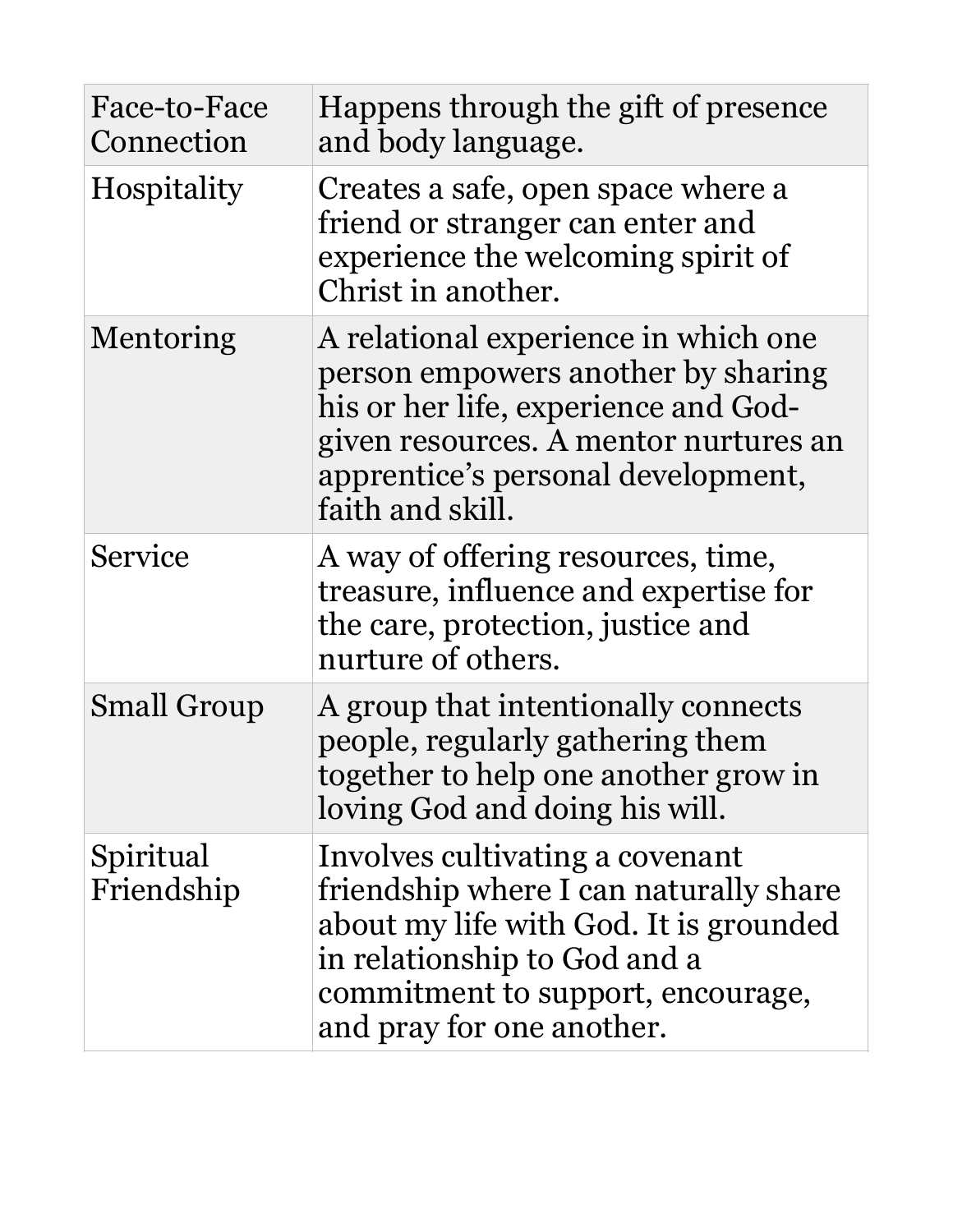| Face-to-Face<br>Connection | Happens through the gift of presence<br>and body language.                                                                                                                                                            |
|----------------------------|-----------------------------------------------------------------------------------------------------------------------------------------------------------------------------------------------------------------------|
| Hospitality                | Creates a safe, open space where a<br>friend or stranger can enter and<br>experience the welcoming spirit of<br>Christ in another.                                                                                    |
| Mentoring                  | A relational experience in which one<br>person empowers another by sharing<br>his or her life, experience and God-<br>given resources. A mentor nurtures an<br>apprentice's personal development,<br>faith and skill. |
| Service                    | A way of offering resources, time,<br>treasure, influence and expertise for<br>the care, protection, justice and<br>nurture of others.                                                                                |
| <b>Small Group</b>         | A group that intentionally connects<br>people, regularly gathering them<br>together to help one another grow in<br>loving God and doing his will.                                                                     |
| Spiritual<br>Friendship    | Involves cultivating a covenant<br>friendship where I can naturally share<br>about my life with God. It is grounded<br>in relationship to God and a<br>commitment to support, encourage,<br>and pray for one another. |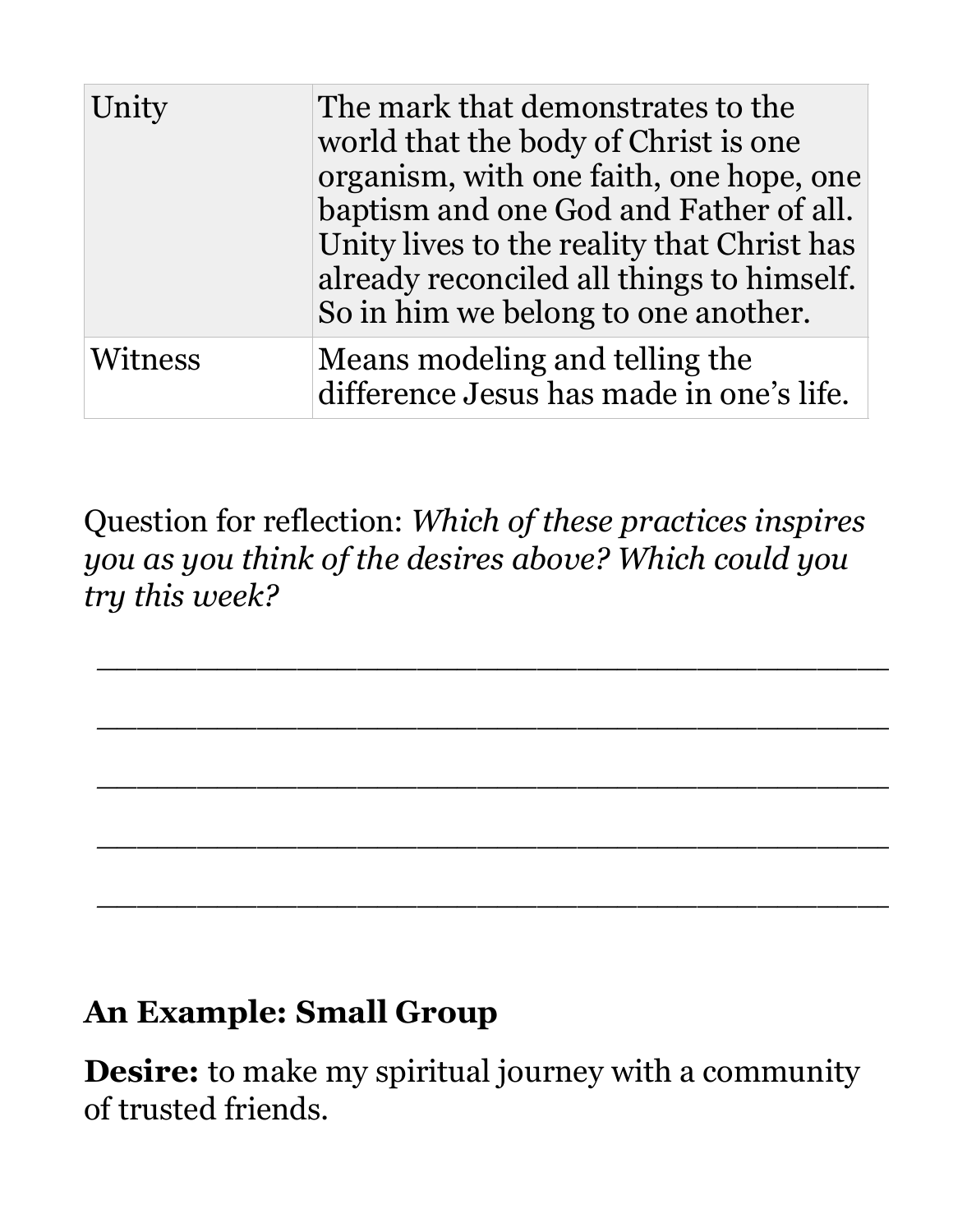| Unity   | The mark that demonstrates to the<br>world that the body of Christ is one<br>organism, with one faith, one hope, one<br>baptism and one God and Father of all.<br>Unity lives to the reality that Christ has<br>already reconciled all things to himself.<br>So in him we belong to one another. |
|---------|--------------------------------------------------------------------------------------------------------------------------------------------------------------------------------------------------------------------------------------------------------------------------------------------------|
| Witness | Means modeling and telling the<br>difference Jesus has made in one's life.                                                                                                                                                                                                                       |

Question for reflection: *Which of these practices inspires you as you think of the desires above? Which could you try this week?*

*\_\_\_\_\_\_\_\_\_\_\_\_\_\_\_\_\_\_\_\_\_\_\_\_\_\_\_\_\_\_\_\_\_\_\_\_\_\_\_\_\_\_\_\_*

*\_\_\_\_\_\_\_\_\_\_\_\_\_\_\_\_\_\_\_\_\_\_\_\_\_\_\_\_\_\_\_\_\_\_\_\_\_\_\_\_\_\_\_\_*

*\_\_\_\_\_\_\_\_\_\_\_\_\_\_\_\_\_\_\_\_\_\_\_\_\_\_\_\_\_\_\_\_\_\_\_\_\_\_\_\_\_\_\_\_*

*\_\_\_\_\_\_\_\_\_\_\_\_\_\_\_\_\_\_\_\_\_\_\_\_\_\_\_\_\_\_\_\_\_\_\_\_\_\_\_\_\_\_\_\_*

*\_\_\_\_\_\_\_\_\_\_\_\_\_\_\_\_\_\_\_\_\_\_\_\_\_\_\_\_\_\_\_\_\_\_\_\_\_\_\_\_\_\_\_\_*

#### **An Example: Small Group**

**Desire:** to make my spiritual journey with a community of trusted friends.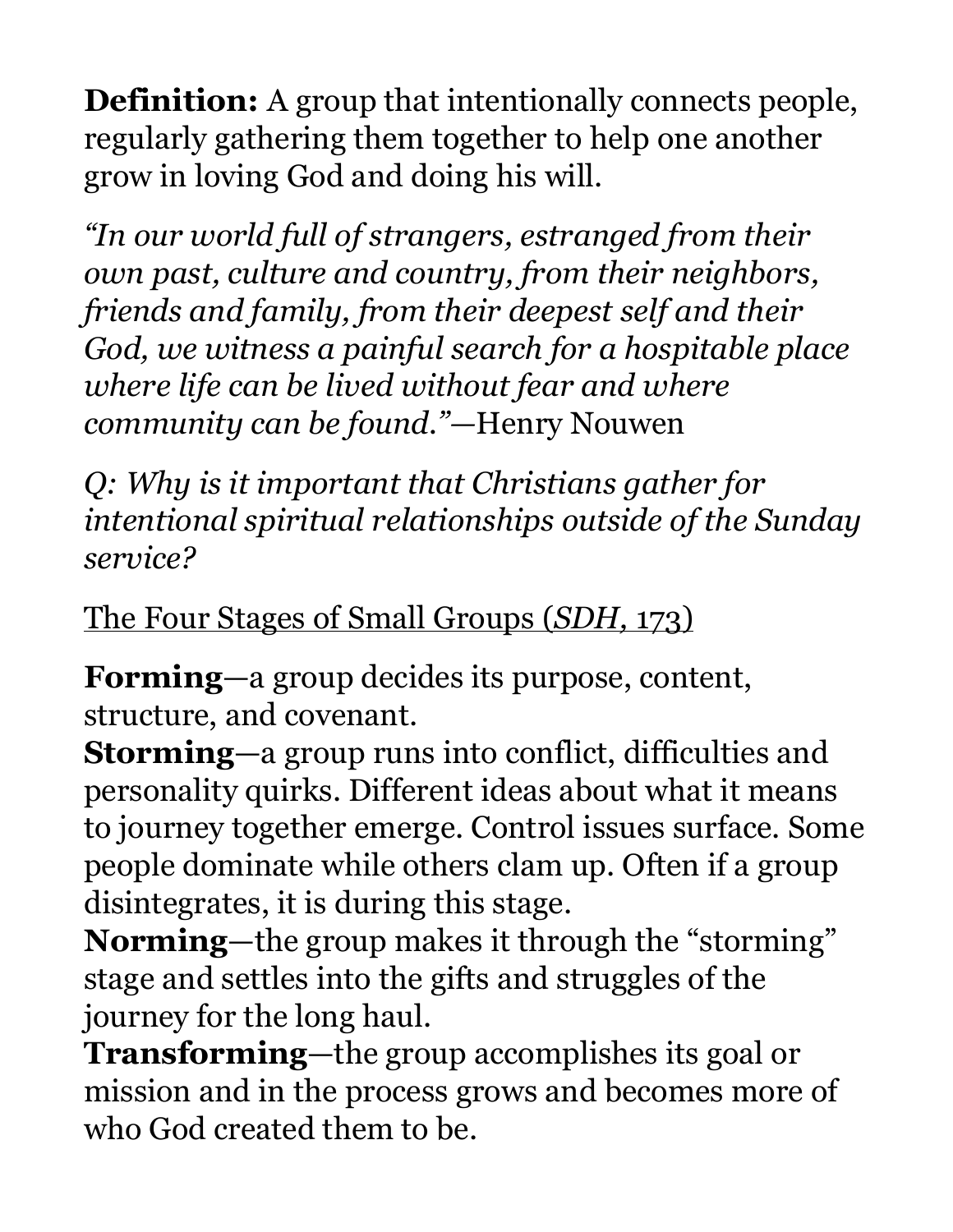**Definition:** A group that intentionally connects people, regularly gathering them together to help one another grow in loving God and doing his will.

*"In our world full of strangers, estranged from their own past, culture and country, from their neighbors, friends and family, from their deepest self and their God, we witness a painful search for a hospitable place where life can be lived without fear and where community can be found."—*Henry Nouwen

*Q: Why is it important that Christians gather for intentional spiritual relationships outside of the Sunday service?* 

The Four Stages of Small Groups (*SDH,* 173)

**Forming**—a group decides its purpose, content, structure, and covenant.

**Storming**—a group runs into conflict, difficulties and personality quirks. Different ideas about what it means to journey together emerge. Control issues surface. Some people dominate while others clam up. Often if a group disintegrates, it is during this stage.

**Norming**—the group makes it through the "storming" stage and settles into the gifts and struggles of the journey for the long haul.

**Transforming**—the group accomplishes its goal or mission and in the process grows and becomes more of who God created them to be.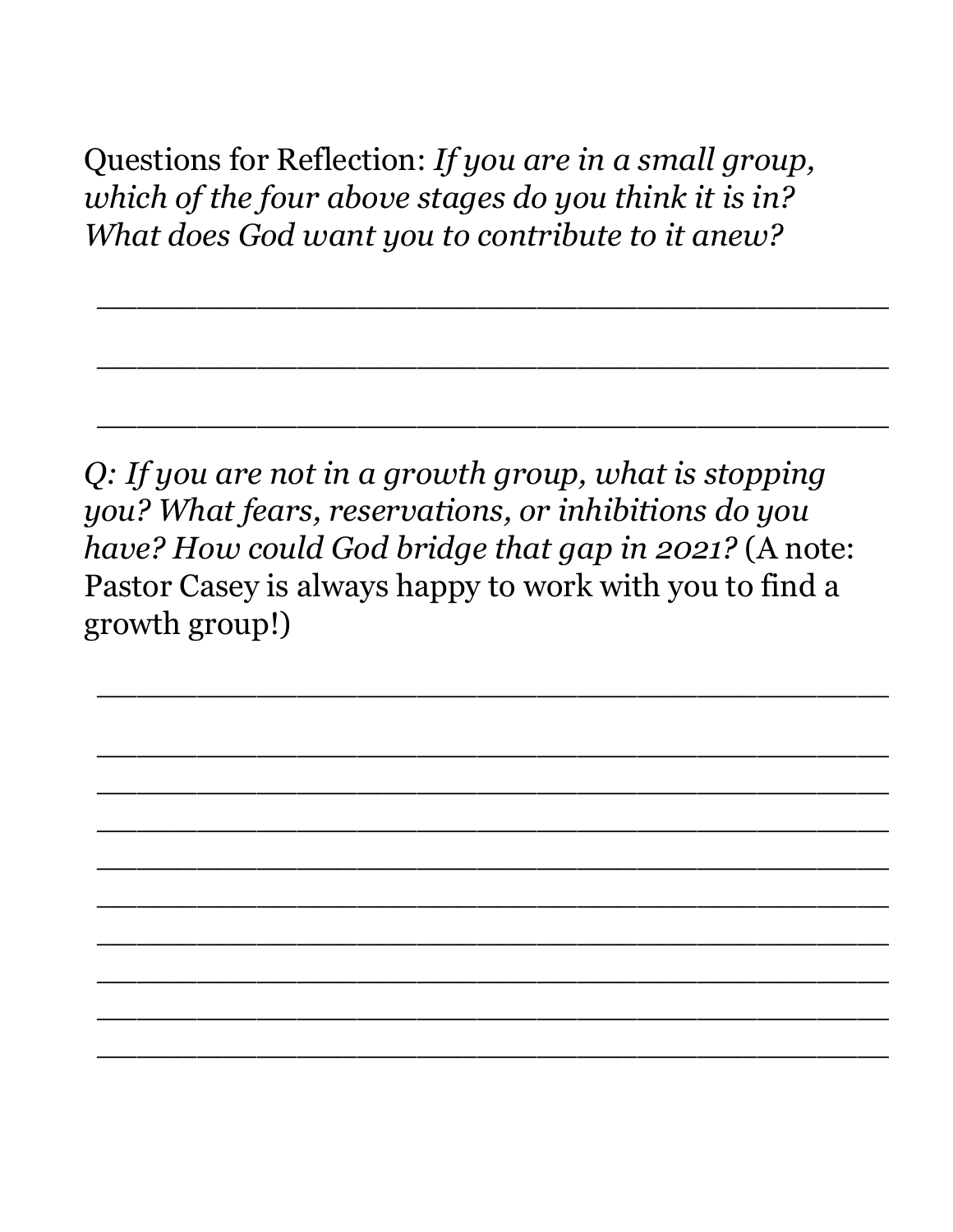Questions for Reflection: *If you are in a small group, which of the four above stages do you think it is in? What does God want you to contribute to it anew?* 

*\_\_\_\_\_\_\_\_\_\_\_\_\_\_\_\_\_\_\_\_\_\_\_\_\_\_\_\_\_\_\_\_\_\_\_\_\_\_\_\_\_\_\_\_*

*\_\_\_\_\_\_\_\_\_\_\_\_\_\_\_\_\_\_\_\_\_\_\_\_\_\_\_\_\_\_\_\_\_\_\_\_\_\_\_\_\_\_\_\_*

*\_\_\_\_\_\_\_\_\_\_\_\_\_\_\_\_\_\_\_\_\_\_\_\_\_\_\_\_\_\_\_\_\_\_\_\_\_\_\_\_\_\_\_\_*

*\_\_\_\_\_\_\_\_\_\_\_\_\_\_\_\_\_\_\_\_\_\_\_\_\_\_\_\_\_\_\_\_\_\_\_\_\_\_\_\_\_\_\_\_*

*\_\_\_\_\_\_\_\_\_\_\_\_\_\_\_\_\_\_\_\_\_\_\_\_\_\_\_\_\_\_\_\_\_\_\_\_\_\_\_\_\_\_\_\_*

*\_\_\_\_\_\_\_\_\_\_\_\_\_\_\_\_\_\_\_\_\_\_\_\_\_\_\_\_\_\_\_\_\_\_\_\_\_\_\_\_\_\_\_\_*

*\_\_\_\_\_\_\_\_\_\_\_\_\_\_\_\_\_\_\_\_\_\_\_\_\_\_\_\_\_\_\_\_\_\_\_\_\_\_\_\_\_\_\_\_*

*\_\_\_\_\_\_\_\_\_\_\_\_\_\_\_\_\_\_\_\_\_\_\_\_\_\_\_\_\_\_\_\_\_\_\_\_\_\_\_\_\_\_\_\_*

*\_\_\_\_\_\_\_\_\_\_\_\_\_\_\_\_\_\_\_\_\_\_\_\_\_\_\_\_\_\_\_\_\_\_\_\_\_\_\_\_\_\_\_\_*

*\_\_\_\_\_\_\_\_\_\_\_\_\_\_\_\_\_\_\_\_\_\_\_\_\_\_\_\_\_\_\_\_\_\_\_\_\_\_\_\_\_\_\_\_*

*\_\_\_\_\_\_\_\_\_\_\_\_\_\_\_\_\_\_\_\_\_\_\_\_\_\_\_\_\_\_\_\_\_\_\_\_\_\_\_\_\_\_\_\_*

*\_\_\_\_\_\_\_\_\_\_\_\_\_\_\_\_\_\_\_\_\_\_\_\_\_\_\_\_\_\_\_\_\_\_\_\_\_\_\_\_\_\_\_\_*

*\_\_\_\_\_\_\_\_\_\_\_\_\_\_\_\_\_\_\_\_\_\_\_\_\_\_\_\_\_\_\_\_\_\_\_\_\_\_\_\_\_\_\_\_*

*Q: If you are not in a growth group, what is stopping you? What fears, reservations, or inhibitions do you have? How could God bridge that gap in 2021?* (A note: Pastor Casey is always happy to work with you to find a growth group!)